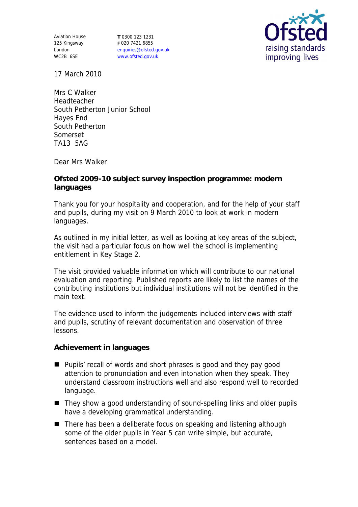Aviation House 125 Kingsway London WC2B 6SE

**T** 0300 123 1231 **F** 020 7421 6855 enquiries@ofsted.gov.uk www.ofsted.gov.uk



17 March 2010

Mrs C Walker Headteacher South Petherton Junior School Hayes End South Petherton Somerset TA13 5AG

Dear Mrs Walker

**Ofsted 2009-10 subject survey inspection programme: modern languages** 

Thank you for your hospitality and cooperation, and for the help of your staff and pupils, during my visit on 9 March 2010 to look at work in modern languages.

As outlined in my initial letter, as well as looking at key areas of the subject, the visit had a particular focus on how well the school is implementing entitlement in Key Stage 2.

The visit provided valuable information which will contribute to our national evaluation and reporting. Published reports are likely to list the names of the contributing institutions but individual institutions will not be identified in the main text.

The evidence used to inform the judgements included interviews with staff and pupils, scrutiny of relevant documentation and observation of three lessons.

**Achievement in languages**

- **Pupils'** recall of words and short phrases is good and they pay good attention to pronunciation and even intonation when they speak. They understand classroom instructions well and also respond well to recorded language.
- They show a good understanding of sound-spelling links and older pupils have a developing grammatical understanding.
- There has been a deliberate focus on speaking and listening although some of the older pupils in Year 5 can write simple, but accurate, sentences based on a model.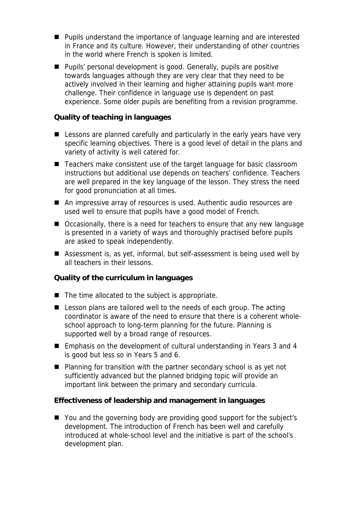- Pupils understand the importance of language learning and are interested in France and its culture. However, their understanding of other countries in the world where French is spoken is limited.
- Pupils' personal development is good. Generally, pupils are positive towards languages although they are very clear that they need to be actively involved in their learning and higher attaining pupils want more challenge. Their confidence in language use is dependent on past experience. Some older pupils are benefiting from a revision programme.

**Quality of teaching in languages**

- **E** Lessons are planned carefully and particularly in the early years have very specific learning objectives. There is a good level of detail in the plans and variety of activity is well catered for.
- Teachers make consistent use of the target language for basic classroom instructions but additional use depends on teachers' confidence. Teachers are well prepared in the key language of the lesson. They stress the need for good pronunciation at all times.
- An impressive array of resources is used. Authentic audio resources are used well to ensure that pupils have a good model of French.
- Occasionally, there is a need for teachers to ensure that any new language is presented in a variety of ways and thoroughly practised before pupils are asked to speak independently.
- Assessment is, as yet, informal, but self-assessment is being used well by all teachers in their lessons.

**Quality of the curriculum in languages**

- $\blacksquare$  The time allocated to the subject is appropriate.
- Lesson plans are tailored well to the needs of each group. The acting coordinator is aware of the need to ensure that there is a coherent wholeschool approach to long-term planning for the future. Planning is supported well by a broad range of resources.
- Emphasis on the development of cultural understanding in Years 3 and 4 is good but less so in Years 5 and 6.
- Planning for transition with the partner secondary school is as yet not sufficiently advanced but the planned bridging topic will provide an important link between the primary and secondary curricula.

**Effectiveness of leadership and management in languages**

■ You and the governing body are providing good support for the subject's development. The introduction of French has been well and carefully introduced at whole-school level and the initiative is part of the school's development plan.